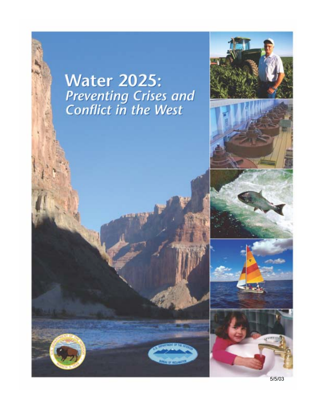## **Water 2025:** Preventing Crises and<br>Conflict in the West

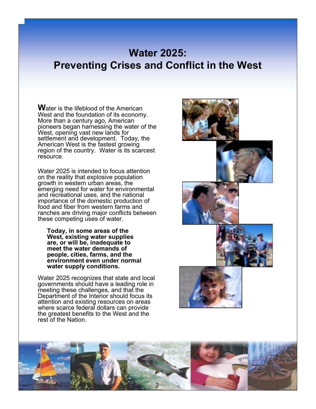## **Water 2025: Preventing Crises and Conflict in the West**

**W**ater is the lifeblood of the American West and the foundation of its economy. More than a century ago, American pioneers began harnessing the water of the West, opening vast new lands for settlement and development. Today, the American West is the fastest growing region of the country. Water is its scarcest resource.

Water 2025 is intended to focus attention on the reality that explosive population growth in western urban areas, the emerging need for water for environmental and recreational uses, and the national importance of the domestic production of food and fiber from western farms and ranches are driving major conflicts between these competing uses of water.

**Today, in some areas of the West, existing water supplies are, or will be, inadequate to meet the water demands of people, cities, farms, and the environment even under normal water supply conditions.** 

Water 2025 recognizes that state and local governments should have a leading role in meeting these challenges, and that the Department of the Interior should focus its attention and existing resources on areas where scarce federal dollars can provide the greatest benefits to the West and the rest of the Nation.



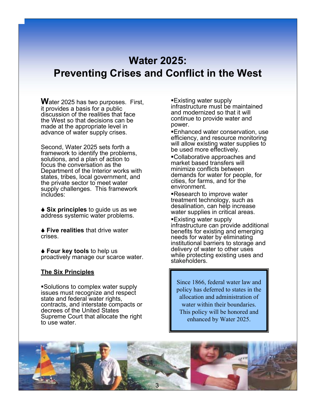## **Water 2025: Preventing Crises and Conflict in the West**

**W**ater 2025 has two purposes. First, it provides a basis for a public discussion of the realities that face the West so that decisions can be made at the appropriate level in advance of water supply crises.

Second, Water 2025 sets forth a framework to identify the problems, solutions, and a plan of action to focus the conversation as the Department of the Interior works with states, tribes, local government, and the private sector to meet water supply challenges. This framework includes:

**◆ Six principles** to guide us as we address systemic water problems.

**A Five realities** that drive water crises.

◆ **Four key tools** to help us proactively manage our scarce water.

#### **The Six Principles**

!Solutions to complex water supply issues must recognize and respect state and federal water rights, contracts, and interstate compacts or decrees of the United States Supreme Court that allocate the right to use water.

**Existing water supply** infrastructure must be maintained and modernized so that it will continue to provide water and power.

!Enhanced water conservation, use efficiency, and resource monitoring will allow existing water supplies to be used more effectively.

!Collaborative approaches and market based transfers will minimize conflicts between demands for water for people, for cities, for farms, and for the environment.

**Research to improve water** treatment technology, such as desalination, can help increase water supplies in critical areas.

**Existing water supply** infrastructure can provide additional benefits for existing and emerging needs for water by eliminating institutional barriers to storage and delivery of water to other uses while protecting existing uses and stakeholders.

Since 1866, federal water law and policy has deferred to states in the allocation and administration of water within their boundaries. This policy will be honored and enhanced by Water 2025.

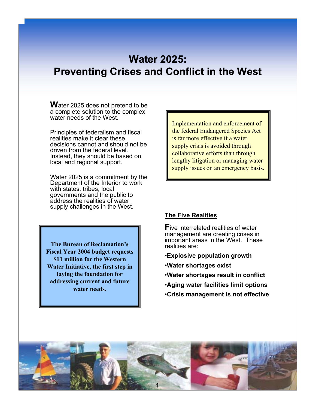## **Water 2025: Preventing Crises and Conflict in the West**

**W**ater 2025 does not pretend to be a complete solution to the complex water needs of the West.

Principles of federalism and fiscal realities make it clear these decisions cannot and should not be driven from the federal level. Instead, they should be based on local and regional support.

Water 2025 is a commitment by the Department of the Interior to work with states, tribes, local governments and the public to address the realities of water supply challenges in the West.

**The Bureau of Reclamation's Fiscal Year 2004 budget requests \$11 million for the Western Water Initiative, the first step in laying the foundation for addressing current and future water needs.**

Implementation and enforcement of the federal Endangered Species Act is far more effective if a water supply crisis is avoided through collaborative efforts than through lengthy litigation or managing water supply issues on an emergency basis.

#### **The Five Realities**

**F**ive interrelated realities of water management are creating crises in important areas in the West. These realities are:

- ï**Explosive population growth**
- **Water shortages exist**
- ï**Water shortages result in conflict**
- ï**Aging water facilities limit options**
- ï**Crisis management is not effective**

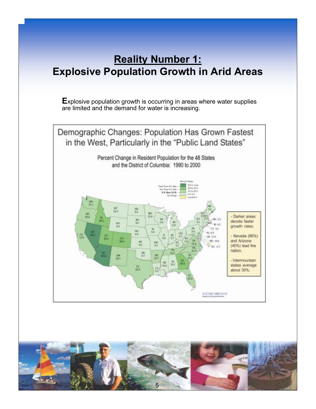## **Reality Number 1: Explosive Population Growth in Arid Areas**

**E**xplosive population growth is occurring in areas where water supplies are limited and the demand for water is increasing.



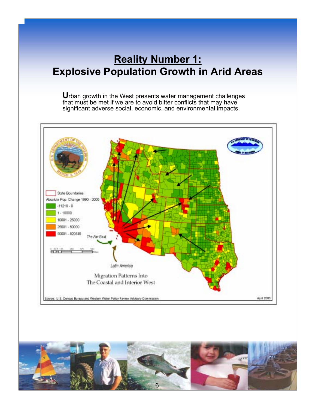## **Reality Number 1: Explosive Population Growth in Arid Areas**

**U**rban growth in the West presents water management challenges that must be met if we are to avoid bitter conflicts that may have significant adverse social, economic, and environmental impacts.



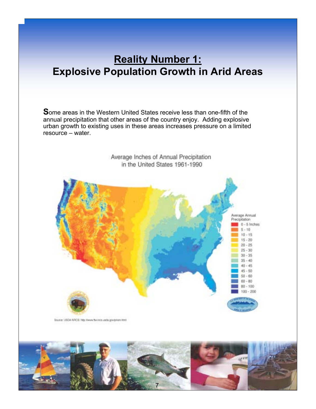## **Reality Number 1: Explosive Population Growth in Arid Areas**

**S**ome areas in the Western United States receive less than one-fifth of the annual precipitation that other areas of the country enjoy. Adding explosive urban growth to existing uses in these areas increases pressure on a limited  $resource - water$ .



Source: USDA-NRCS: http://www.the.rece.usda.gov/prism.ttm/

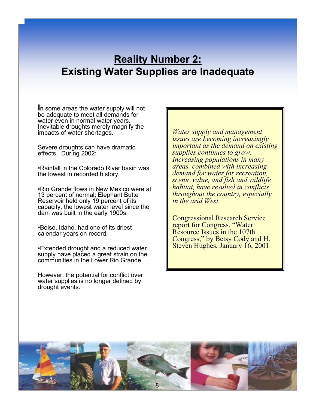## **Reality Number 2: Existing Water Supplies are Inadequate**

**I**n some areas the water supply will not be adequate to meet all demands for water even in normal water years. Inevitable droughts merely magnify the impacts of water shortages.

Severe droughts can have dramatic effects. During 2002:

• Rainfall in the Colorado River basin was the lowest in recorded history.

• Rio Grande flows in New Mexico were at 13 percent of normal; Elephant Butte Reservoir held only 19 percent of its capacity, the lowest water level since the dam was built in the early 1900s.

•Boise, Idaho, had one of its driest calendar years on record.

**Extended drought and a reduced water** supply have placed a great strain on the communities in the Lower Rio Grande.

However, the potential for conflict over water supplies is no longer defined by drought events.

*Water supply and management issues are becoming increasingly important as the demand on existing supplies continues to grow. Increasing populations in many areas, combined with increasing demand for water for recreation, scenic value, and fish and wildlife habitat, have resulted in conflicts throughout the country, especially in the arid West.* 

Congressional Research Service report for Congress, "Water Resource Issues in the 107th Congress," by Betsy Cody and H. Steven Hughes, January 16, 2001

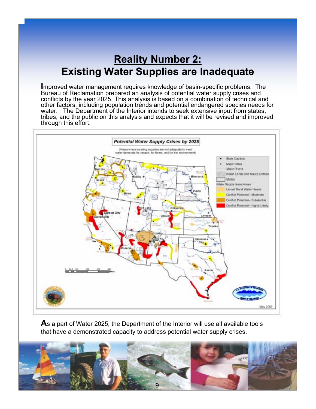## **Reality Number 2: Existing Water Supplies are Inadequate**

**I**mproved water management requires knowledge of basin-specific problems. The Bureau of Reclamation prepared an analysis of potential water supply crises and conflicts by the year 2025. This analysis is based on a combination of technical and other factors, including population trends and potential endangered species needs for water. The Department of the Interior intends to seek extensive input from states, tribes, and the public on this analysis and expects that it will be revised and improved through this effort.



**A**s a part of Water 2025, the Department of the Interior will use all available tools that have a demonstrated capacity to address potential water supply crises.

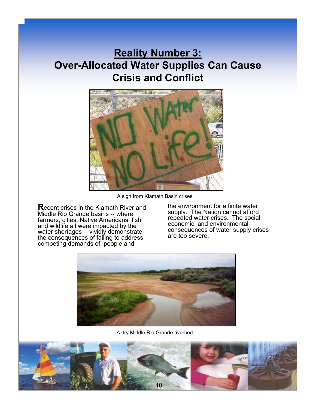## **Reality Number 3: Over-Allocated Water Supplies Can Cause Crisis and Conflict**



A sign from Klamath Basin crises

**R**ecent crises in the Klamath River and Middle Rio Grande basins -- where farmers, cities, Native Americans, fish and wildlife all were impacted by the water shortages -- vividly demonstrate the consequences of failing to address competing demands of people and

the environment for a finite water supply. The Nation cannot afford repeated water crises. The social, economic, and environmental consequences of water supply crises are too severe.



A dry Middle Rio Grande riverbed

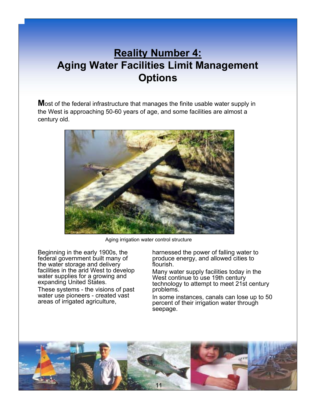## **Reality Number 4: Aging Water Facilities Limit Management Options**

**M**ost of the federal infrastructure that manages the finite usable water supply in the West is approaching 50-60 years of age, and some facilities are almost a century old.



Aging irrigation water control structure

Beginning in the early 1900s, the federal government built many of the water storage and delivery facilities in the arid West to develop water supplies for a growing and expanding United States.

These systems - the visions of past water use pioneers - created vast areas of irrigated agriculture,

harnessed the power of falling water to produce energy, and allowed cities to flourish.

Many water supply facilities today in the West continue to use 19th century technology to attempt to meet 21st century problems.

In some instances, canals can lose up to 50 percent of their irrigation water through seepage.

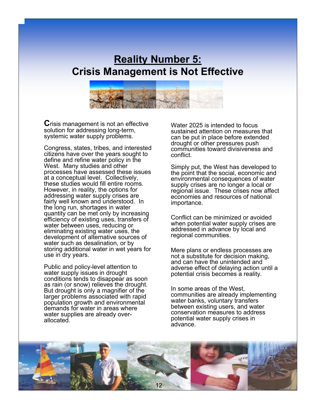## **Reality Number 5: Crisis Management is Not Effective**



**C**risis management is not an effective solution for addressing long-term, systemic water supply problems.

Congress, states, tribes, and interested citizens have over the years sought to define and refine water policy in the West. Many studies and other processes have assessed these issues at a conceptual level. Collectively, these studies would fill entire rooms. However, in reality, the options for addressing water supply crises are fairly well known and understood. In the long run, shortages in water quantity can be met only by increasing efficiency of existing uses, transfers of water between uses, reducing or eliminating existing water uses, the development of alternative sources of water such as desalination, or by storing additional water in wet years for use in dry years.

Public and policy-level attention to water supply issues in drought conditions tends to disappear as soon as rain (or snow) relieves the drought. But drought is only a magnifier of the larger problems associated with rapid population growth and environmental demands for water in areas where water supplies are already overallocated.

Water 2025 is intended to focus sustained attention on measures that can be put in place before extended drought or other pressures push communities toward divisiveness and conflict.

Simply put, the West has developed to the point that the social, economic and environmental consequences of water supply crises are no longer a local or regional issue. These crises now affect economies and resources of national importance.

Conflict can be minimized or avoided when potential water supply crises are addressed in advance by local and regional communities.

Mere plans or endless processes are not a substitute for decision making, and can have the unintended and adverse effect of delaying action until a potential crisis becomes a reality.

In some areas of the West, communities are already implementing water banks, voluntary transfers between existing users, and water conservation measures to address potential water supply crises in advance.

![](_page_11_Picture_10.jpeg)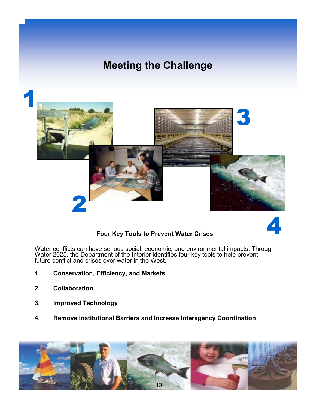## **Meeting the Challenge**

![](_page_12_Picture_1.jpeg)

![](_page_12_Picture_2.jpeg)

#### **Four Key Tools to Prevent Water Crises**

Water conflicts can have serious social, economic, and environmental impacts. Through Water 2025, the Department of the Interior identifies four key tools to help prevent future conflict and crises over water in the West.

- **1. Conservation, Efficiency, and Markets**
- **2. Collaboration**
- **3. Improved Technology**
- **4. Remove Institutional Barriers and Increase Interagency Coordination**

![](_page_12_Picture_9.jpeg)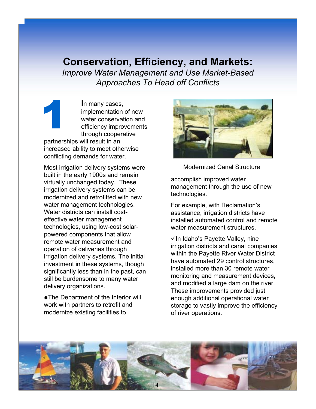1 **I**n many cases, implementation of new water conservation and efficiency improvements through cooperative partnerships will result in an increased ability to meet otherwise conflicting demands for water.

Most irrigation delivery systems were built in the early 1900s and remain virtually unchanged today. These irrigation delivery systems can be modernized and retrofitted with new water management technologies. Water districts can install costeffective water management technologies, using low-cost solarpowered components that allow remote water measurement and operation of deliveries through irrigation delivery systems. The initial investment in these systems, though significantly less than in the past, can still be burdensome to many water delivery organizations.

♦ The Department of the Interior will work with partners to retrofit and modernize existing facilities to

![](_page_13_Picture_4.jpeg)

Modernized Canal Structure

accomplish improved water management through the use of new technologies.

For example, with Reclamation's assistance, irrigation districts have installed automated control and remote water measurement structures

 $\checkmark$  In Idaho's Payette Valley, nine irrigation districts and canal companies within the Payette River Water District have automated 29 control structures, installed more than 30 remote water monitoring and measurement devices, and modified a large dam on the river. These improvements provided just enough additional operational water storage to vastly improve the efficiency of river operations.

![](_page_13_Picture_9.jpeg)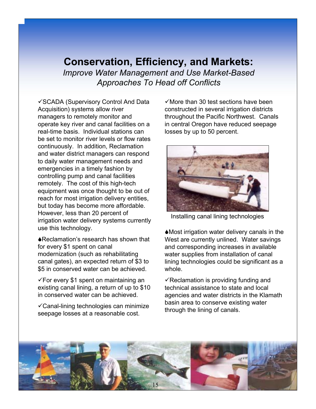"SCADA (Supervisory Control And Data Acquisition) systems allow river managers to remotely monitor and operate key river and canal facilities on a real-time basis. Individual stations can be set to monitor river levels or flow rates continuously. In addition, Reclamation and water district managers can respond to daily water management needs and emergencies in a timely fashion by controlling pump and canal facilities remotely. The cost of this high-tech equipment was once thought to be out of reach for most irrigation delivery entities, but today has become more affordable. However, less than 20 percent of irrigation water delivery systems currently use this technology.

♦ Reclamation's research has shown that for every \$1 spent on canal modernization (such as rehabilitating canal gates), an expected return of \$3 to \$5 in conserved water can be achieved.

 $\sqrt{2}$  For every \$1 spent on maintaining an existing canal lining, a return of up to \$10 in conserved water can be achieved.

 $\checkmark$  Canal-lining technologies can minimize seepage losses at a reasonable cost.

 $\checkmark$  More than 30 test sections have been constructed in several irrigation districts throughout the Pacific Northwest. Canals in central Oregon have reduced seepage losses by up to 50 percent.

![](_page_14_Picture_6.jpeg)

Installing canal lining technologies

!Most irrigation water delivery canals in the West are currently unlined. Water savings and corresponding increases in available water supplies from installation of canal lining technologies could be significant as a whole.

 $\checkmark$  Reclamation is providing funding and technical assistance to state and local agencies and water districts in the Klamath basin area to conserve existing water through the lining of canals.

![](_page_14_Picture_10.jpeg)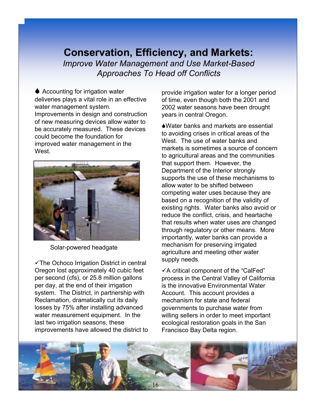$\triangle$  Accounting for irrigation water deliveries plays a vital role in an effective water management system. Improvements in design and construction of new measuring devices allow water to be accurately measured. These devices could become the foundation for improved water management in the **West** 

![](_page_15_Picture_2.jpeg)

Solar-powered headgate

 $\checkmark$ The Ochoco Irrigation District in central Oregon lost approximately 40 cubic feet per second (cfs), or 25.8 million gallons per day, at the end of their irrigation system. The District, in partnership with Reclamation, dramatically cut its daily losses by 75% after installing advanced water measurement equipment. In the last two irrigation seasons, these improvements have allowed the district to provide irrigation water for a longer period of time, even though both the 2001 and 2002 water seasons have been drought years in central Oregon.

**AWater banks and markets are essential** to avoiding crises in critical areas of the West. The use of water banks and markets is sometimes a source of concern to agricultural areas and the communities that support them. However, the Department of the Interior strongly supports the use of these mechanisms to allow water to be shifted between competing water uses because they are based on a recognition of the validity of existing rights. Water banks also avoid or reduce the conflict, crisis, and heartache that results when water uses are changed through regulatory or other means. More importantly, water banks can provide a mechanism for preserving irrigated agriculture and meeting other water supply needs.

 $\checkmark$ A critical component of the "CalFed" process in the Central Valley of California is the innovative Environmental Water Account. This account provides a mechanism for state and federal governments to purchase water from willing sellers in order to meet important ecological restoration goals in the San Francisco Bay Delta region.

![](_page_15_Picture_8.jpeg)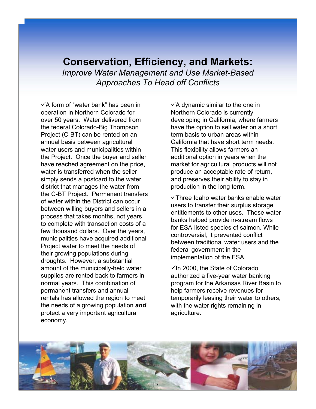$\checkmark$  A form of "water bank" has been in operation in Northern Colorado for over 50 years. Water delivered from the federal Colorado-Big Thompson Project (C-BT) can be rented on an annual basis between agricultural water users and municipalities within the Project. Once the buyer and seller have reached agreement on the price, water is transferred when the seller simply sends a postcard to the water district that manages the water from the C-BT Project. Permanent transfers of water within the District can occur between willing buyers and sellers in a process that takes months, not years, to complete with transaction costs of a few thousand dollars. Over the years, municipalities have acquired additional Project water to meet the needs of their growing populations during droughts. However, a substantial amount of the municipally-held water supplies are rented back to farmers in normal years. This combination of permanent transfers and annual rentals has allowed the region to meet the needs of a growing population *and* protect a very important agricultural economy.

 $\checkmark$  A dynamic similar to the one in Northern Colorado is currently developing in California, where farmers have the option to sell water on a short term basis to urban areas within California that have short term needs. This flexibility allows farmers an additional option in years when the market for agricultural products will not produce an acceptable rate of return, and preserves their ability to stay in production in the long term.

 $\checkmark$ Three Idaho water banks enable water users to transfer their surplus storage entitlements to other uses. These water banks helped provide in-stream flows for ESA-listed species of salmon. While controversial, it prevented conflict between traditional water users and the federal government in the implementation of the ESA.

 $\checkmark$  In 2000, the State of Colorado authorized a five-year water banking program for the Arkansas River Basin to help farmers receive revenues for temporarily leasing their water to others, with the water rights remaining in agriculture.

![](_page_16_Picture_5.jpeg)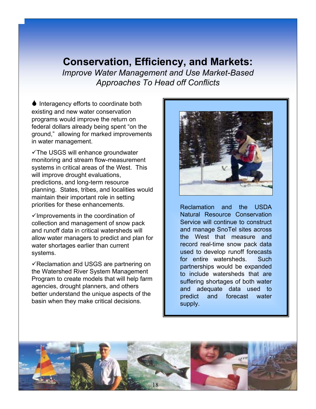♦ Interagency efforts to coordinate both existing and new water conservation programs would improve the return on federal dollars already being spent "on the ground," allowing for marked improvements in water management.

 $\checkmark$ The USGS will enhance groundwater monitoring and stream flow-measurement systems in critical areas of the West. This will improve drought evaluations, predictions, and long-term resource planning. States, tribes, and localities would maintain their important role in setting priorities for these enhancements.

 $\checkmark$  Improvements in the coordination of collection and management of snow pack and runoff data in critical watersheds will allow water managers to predict and plan for water shortages earlier than current systems.

 $\checkmark$  Reclamation and USGS are partnering on the Watershed River System Management Program to create models that will help farm agencies, drought planners, and others better understand the unique aspects of the basin when they make critical decisions.

![](_page_17_Picture_5.jpeg)

Reclamation and the USDA Natural Resource Conservation Service will continue to construct and manage SnoTel sites across the West that measure and record real-time snow pack data used to develop runoff forecasts for entire watersheds. Such partnerships would be expanded to include watersheds that are suffering shortages of both water and adequate data used to predict and forecast water supply.

![](_page_17_Picture_7.jpeg)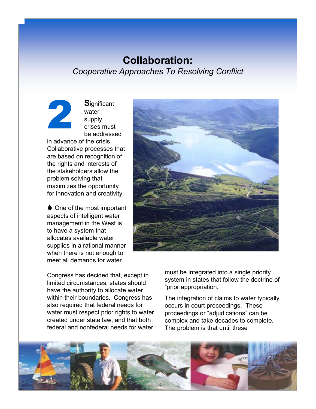## **Collaboration:** *Cooperative Approaches To Resolving Conflict*

**S**ignificant water supply crises must be addressed

in advance of the crisis. Collaborative processes that are based on recognition of the rights and interests of the stakeholders allow the problem solving that maximizes the opportunity for innovation and creativity.

2

 $\bullet$  One of the most important aspects of intelligent water management in the West is to have a system that allocates available water supplies in a rational manner when there is not enough to meet all demands for water.

Congress has decided that, except in limited circumstances, states should have the authority to allocate water within their boundaries. Congress has also required that federal needs for water must respect prior rights to water created under state law, and that both federal and nonfederal needs for water

![](_page_18_Picture_5.jpeg)

must be integrated into a single priority system in states that follow the doctrine of "prior appropriation."

The integration of claims to water typically occurs in court proceedings. These proceedings or "adjudications" can be complex and take decades to complete. The problem is that until these

![](_page_18_Picture_8.jpeg)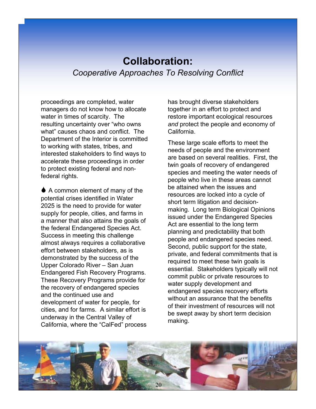## **Collaboration:** *Cooperative Approaches To Resolving Conflict*

proceedings are completed, water managers do not know how to allocate water in times of scarcity. The resulting uncertainty over "who owns what" causes chaos and conflict. The Department of the Interior is committed to working with states, tribes, and interested stakeholders to find ways to accelerate these proceedings in order to protect existing federal and nonfederal rights.

 $\triangle$  A common element of many of the potential crises identified in Water 2025 is the need to provide for water supply for people, cities, and farms in a manner that also attains the goals of the federal Endangered Species Act. Success in meeting this challenge almost always requires a collaborative effort between stakeholders, as is demonstrated by the success of the Upper Colorado River - San Juan Endangered Fish Recovery Programs. These Recovery Programs provide for the recovery of endangered species and the continued use and development of water for people, for cities, and for farms. A similar effort is underway in the Central Valley of California, where the "CalFed" process has brought diverse stakeholders together in an effort to protect and restore important ecological resources *and* protect the people and economy of California.

These large scale efforts to meet the needs of people and the environment are based on several realities. First, the twin goals of recovery of endangered species and meeting the water needs of people who live in these areas cannot be attained when the issues and resources are locked into a cycle of short term litigation and decisionmaking. Long term Biological Opinions issued under the Endangered Species Act are essential to the long term planning and predictability that both people and endangered species need. Second, public support for the state, private, and federal commitments that is required to meet these twin goals is essential. Stakeholders typically will not commit public or private resources to water supply development and endangered species recovery efforts without an assurance that the benefits of their investment of resources will not be swept away by short term decision making.

![](_page_19_Picture_5.jpeg)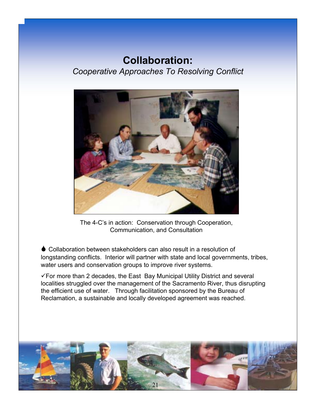## **Collaboration:** *Cooperative Approaches To Resolving Conflict*

![](_page_20_Picture_1.jpeg)

The 4-C's in action: Conservation through Cooperation, Communication, and Consultation

 $\bullet$  Collaboration between stakeholders can also result in a resolution of longstanding conflicts. Interior will partner with state and local governments, tribes, water users and conservation groups to improve river systems.

"For more than 2 decades, the East Bay Municipal Utility District and several localities struggled over the management of the Sacramento River, thus disrupting the efficient use of water. Through facilitation sponsored by the Bureau of Reclamation, a sustainable and locally developed agreement was reached.

![](_page_20_Picture_5.jpeg)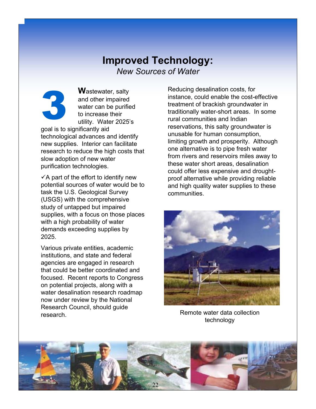## **Improved Technology:** *New Sources of Water*

![](_page_21_Picture_1.jpeg)

**W**astewater, salty and other impaired water can be purified to increase their utility. Water 2025's

goal is to significantly aid technological advances and identify new supplies. Interior can facilitate research to reduce the high costs that slow adoption of new water purification technologies.

 $\checkmark$ A part of the effort to identify new potential sources of water would be to task the U.S. Geological Survey (USGS) with the comprehensive study of untapped but impaired supplies, with a focus on those places with a high probability of water demands exceeding supplies by 2025.

Various private entities, academic institutions, and state and federal agencies are engaged in research that could be better coordinated and focused. Recent reports to Congress on potential projects, along with a water desalination research roadmap now under review by the National Research Council, should guide research.

Reducing desalination costs, for instance, could enable the cost-effective treatment of brackish groundwater in traditionally water-short areas. In some rural communities and Indian reservations, this salty groundwater is unusable for human consumption, limiting growth and prosperity. Although one alternative is to pipe fresh water from rivers and reservoirs miles away to these water short areas, desalination could offer less expensive and droughtproof alternative while providing reliable and high quality water supplies to these communities.

![](_page_21_Picture_7.jpeg)

Remote water data collection technology

![](_page_21_Picture_9.jpeg)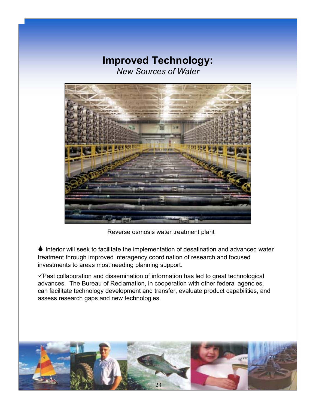## **Improved Technology:** *New Sources of Water*

![](_page_22_Picture_1.jpeg)

Reverse osmosis water treatment plant

 $\bullet$  Interior will seek to facilitate the implementation of desalination and advanced water treatment through improved interagency coordination of research and focused investments to areas most needing planning support.

 $\checkmark$  Past collaboration and dissemination of information has led to great technological advances. The Bureau of Reclamation, in cooperation with other federal agencies, can facilitate technology development and transfer, evaluate product capabilities, and assess research gaps and new technologies.

![](_page_22_Picture_5.jpeg)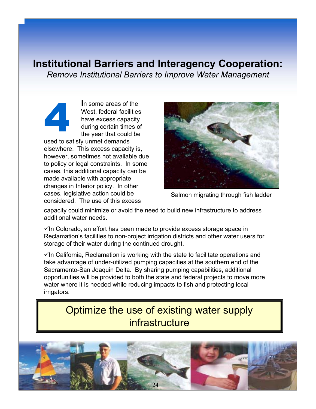### **Institutional Barriers and Interagency Cooperation:**

*Remove Institutional Barriers to Improve Water Management*

**I**n some areas of the West, federal facilities have excess capacity during certain times of the year that could be used to satisfy unmet demands elsewhere. This excess capacity is, however, sometimes not available due to policy or legal constraints. In some cases, this additional capacity can be made available with appropriate changes in Interior policy. In other cases, legislative action could be considered. The use of this excess 4

![](_page_23_Picture_3.jpeg)

Salmon migrating through fish ladder

capacity could minimize or avoid the need to build new infrastructure to address additional water needs.

 $\checkmark$  In Colorado, an effort has been made to provide excess storage space in Reclamation's facilities to non-project irrigation districts and other water users for storage of their water during the continued drought.

 $\checkmark$  In California, Reclamation is working with the state to facilitate operations and take advantage of under-utilized pumping capacities at the southern end of the Sacramento-San Joaquin Delta. By sharing pumping capabilities, additional opportunities will be provided to both the state and federal projects to move more water where it is needed while reducing impacts to fish and protecting local irrigators.

## Optimize the use of existing water supply infrastructure

![](_page_23_Picture_9.jpeg)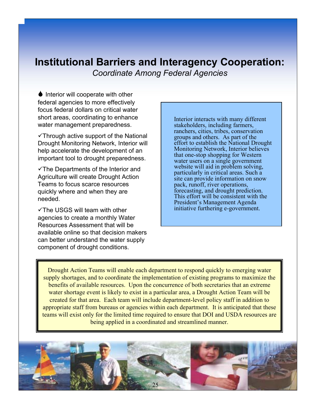#### **Institutional Barriers and Interagency Cooperation:** *Coordinate Among Federal Agencies*

 $\bullet$  Interior will cooperate with other federal agencies to more effectively focus federal dollars on critical water short areas, coordinating to enhance water management preparedness.

 $\checkmark$ Through active support of the National Drought Monitoring Network, Interior will help accelerate the development of an important tool to drought preparedness.

 $\checkmark$ The Departments of the Interior and Agriculture will create Drought Action Teams to focus scarce resources quickly where and when they are needed.

 $\checkmark$ The USGS will team with other agencies to create a monthly Water Resources Assessment that will be available online so that decision makers can better understand the water supply component of drought conditions.

Interior interacts with many different stakeholders, including farmers, ranchers, cities, tribes, conservation groups and others. As part of the effort to establish the National Drought Monitoring Network, Interior believes that one-stop shopping for Western water users on a single government website will aid in problem solving, particularly in critical areas. Such a site can provide information on snow pack, runoff, river operations, forecasting, and drought prediction. This effort will be consistent with the President's Management Agenda initiative furthering e-government.

Drought Action Teams will enable each department to respond quickly to emerging water supply shortages, and to coordinate the implementation of existing programs to maximize the benefits of available resources. Upon the concurrence of both secretaries that an extreme water shortage event is likely to exist in a particular area, a Drought Action Team will be created for that area. Each team will include department-level policy staff in addition to appropriate staff from bureaus or agencies within each department. It is anticipated that these teams will exist only for the limited time required to ensure that DOI and USDA resources are being applied in a coordinated and streamlined manner.

![](_page_24_Picture_7.jpeg)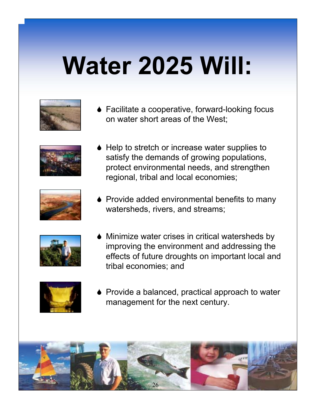# **Water 2025 Will:**

• Facilitate a cooperative, forward-looking focus on water short areas of the West;

![](_page_25_Picture_3.jpeg)

♦ Help to stretch or increase water supplies to satisfy the demands of growing populations, protect environmental needs, and strengthen regional, tribal and local economies;

![](_page_25_Picture_5.jpeg)

• Provide added environmental benefits to many watersheds, rivers, and streams;

![](_page_25_Picture_7.jpeg)

 $\blacklozenge$  Minimize water crises in critical watersheds by improving the environment and addressing the effects of future droughts on important local and tribal economies; and

![](_page_25_Picture_9.jpeg)

 $\bullet$  Provide a balanced, practical approach to water management for the next century.

![](_page_25_Picture_11.jpeg)